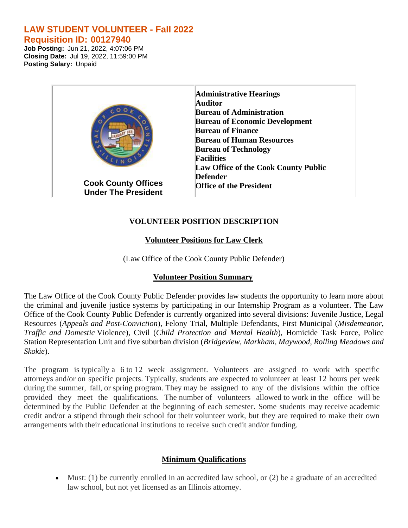# **LAW STUDENT VOLUNTEER - Fall 2022 Requisition ID: 00127940**

**Job Posting:** Jun 21, 2022, 4:07:06 PM **Closing Date:** Jul 19, 2022, 11:59:00 PM **Posting Salary:** Unpaid

| $COO_K$                    | <b>Administrative Hearings</b><br><b>Auditor</b><br><b>Bureau of Administration</b><br><b>Bureau of Economic Development</b><br><b>Bureau of Finance</b><br><b>Bureau of Human Resources</b><br><b>Bureau of Technology</b><br><b>Facilities</b><br>Law Office of the Cook County Public |
|----------------------------|------------------------------------------------------------------------------------------------------------------------------------------------------------------------------------------------------------------------------------------------------------------------------------------|
| <b>Cook County Offices</b> | <b>Defender</b>                                                                                                                                                                                                                                                                          |
| <b>Under The President</b> | <b>Office of the President</b>                                                                                                                                                                                                                                                           |

## **VOLUNTEER POSITION DESCRIPTION**

## **Volunteer Positions for Law Clerk**

(Law Office of the Cook County Public Defender)

## **Volunteer Position Summary**

The Law Office of the Cook County Public Defender provides law students the opportunity to learn more about the criminal and juvenile justice systems by participating in our Internship Program as a volunteer. The Law Office of the Cook County Public Defender is currently organized into several divisions: Juvenile Justice, Legal Resources (*Appeals and Post-Conviction*), Felony Trial, Multiple Defendants, First Municipal (*Misdemeanor, Traffic and Domestic* Violence), Civil (*Child Protection and Mental Health*), Homicide Task Force, Police Station Representation Unit and five suburban division (*Bridgeview, Markham, Maywood, Rolling Meadows and Skokie*).

The program is typically a 6 to 12 week assignment. Volunteers are assigned to work with specific attorneys and/or on specific projects. Typically, students are expected to volunteer at least 12 hours per week during the summer, fall, or spring program. They may be assigned to any of the divisions within the office provided they meet the qualifications. The number of volunteers allowed to work in the office will be determined by the Public Defender at the beginning of each semester. Some students may receive academic credit and/or a stipend through their school for their volunteer work, but they are required to make their own arrangements with their educational institutions to receive such credit and/or funding.

## **Minimum Qualifications**

• Must: (1) be currently enrolled in an accredited law school, or (2) be a graduate of an accredited law school, but not yet licensed as an Illinois attorney.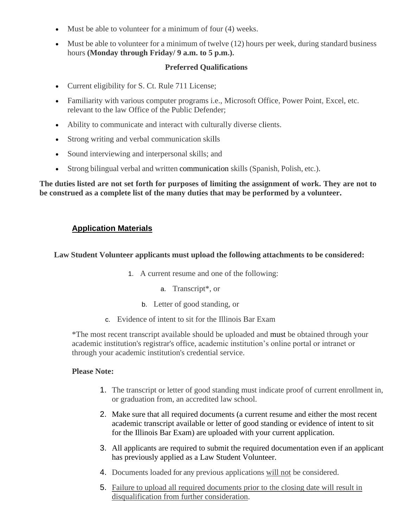- Must be able to volunteer for a minimum of four (4) weeks.
- Must be able to volunteer for a minimum of twelve (12) hours per week, during standard business hours **(Monday through Friday/ 9 a.m. to 5 p.m.).**

### **Preferred Qualifications**

- Current eligibility for S. Ct. Rule 711 License;
- Familiarity with various computer programs i.e., Microsoft Office, Power Point, Excel, etc. relevant to the law Office of the Public Defender;
- Ability to communicate and interact with culturally diverse clients.
- Strong writing and verbal communication skills
- Sound interviewing and interpersonal skills; and
- Strong bilingual verbal and written communication skills (Spanish, Polish, etc.).

**The duties listed are not set forth for purposes of limiting the assignment of work. They are not to be construed as a complete list of the many duties that may be performed by a volunteer.**

# **Application Materials**

### **Law Student Volunteer applicants must upload the following attachments to be considered:**

- 1. A current resume and one of the following:
	- a. Transcript\*, or
	- b. Letter of good standing, or
- c. Evidence of intent to sit for the Illinois Bar Exam

\*The most recent transcript available should be uploaded and must be obtained through your academic institution's registrar's office, academic institution's online portal or intranet or through your academic institution's credential service.

#### **Please Note:**

- 1. The transcript or letter of good standing must indicate proof of current enrollment in, or graduation from, an accredited law school.
- 2. Make sure that all required documents (a current resume and either the most recent academic transcript available or letter of good standing or evidence of intent to sit for the Illinois Bar Exam) are uploaded with your current application.
- 3. All applicants are required to submit the required documentation even if an applicant has previously applied as a Law Student Volunteer.
- 4. Documents loaded for any previous applications will not be considered.
- 5. Failure to upload all required documents prior to the closing date will result in disqualification from further consideration.